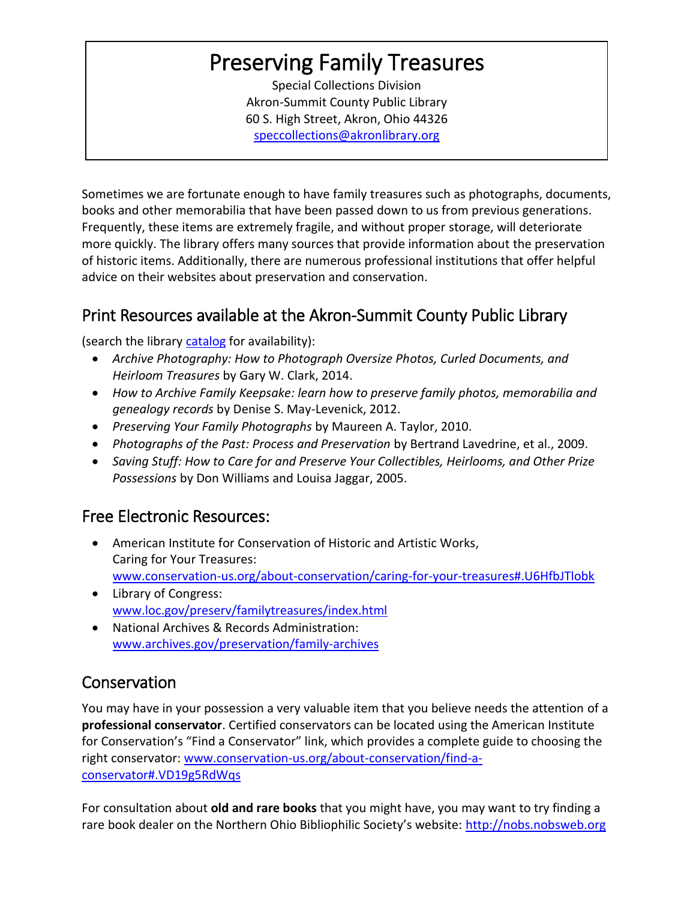# Preserving Family Treasures

Special Collections Division Akron-Summit County Public Library 60 S. High Street, Akron, Ohio 44326 [speccollections@akronlibrary.org](mailto:speccollections@akronlibrary.org)

Sometimes we are fortunate enough to have family treasures such as photographs, documents, books and other memorabilia that have been passed down to us from previous generations. Frequently, these items are extremely fragile, and without proper storage, will deteriorate more quickly. The library offers many sources that provide information about the preservation of historic items. Additionally, there are numerous professional institutions that offer helpful advice on their websites about preservation and conservation.

## Print Resources available at the Akron-Summit County Public Library

(search the library [catalog](http://encore.akronlibrary.org/iii/encore/?lang=eng) for availability):

- *Archive Photography: How to Photograph Oversize Photos, Curled Documents, and Heirloom Treasures* by Gary W. Clark, 2014.
- *How to Archive Family Keepsake: learn how to preserve family photos, memorabilia and genealogy records* by Denise S. May-Levenick, 2012.
- *Preserving Your Family Photographs* by Maureen A. Taylor, 2010.
- *Photographs of the Past: Process and Preservation* by Bertrand Lavedrine, et al., 2009.
- *Saving Stuff: How to Care for and Preserve Your Collectibles, Heirlooms, and Other Prize Possessions* by Don Williams and Louisa Jaggar, 2005.

### Free Electronic Resources:

- American Institute for Conservation of Historic and Artistic Works, Caring for Your Treasures: [www.conservation-us.org/about-conservation/caring-for-your-treasures#.U6HfbJTlobk](http://www.conservation-us.org/about-conservation/caring-for-your-treasures#.U6HfbJTlobk)
- Library of Congress: [www.loc.gov/preserv/familytreasures/index.html](http://www.loc.gov/preserv/familytreasures/index.html)
- National Archives & Records Administration: [www.archives.gov/preservation/family-archives](http://www.archives.gov/preservation/family-archives)

## **Conservation**

You may have in your possession a very valuable item that you believe needs the attention of a **professional conservator**. Certified conservators can be located using the American Institute for Conservation's "Find a Conservator" link, which provides a complete guide to choosing the right conservator: [www.conservation-us.org/about-conservation/find-a](http://www.conservation-us.org/about-conservation/find-a-conservator#.VD19g5RdWqs)[conservator#.VD19g5RdWqs](http://www.conservation-us.org/about-conservation/find-a-conservator#.VD19g5RdWqs)

For consultation about **old and rare books** that you might have, you may want to try finding a rare book dealer on the Northern Ohio Bibliophilic Society's website: [http://nobs.nobsweb.org](http://nobs.nobsweb.org/)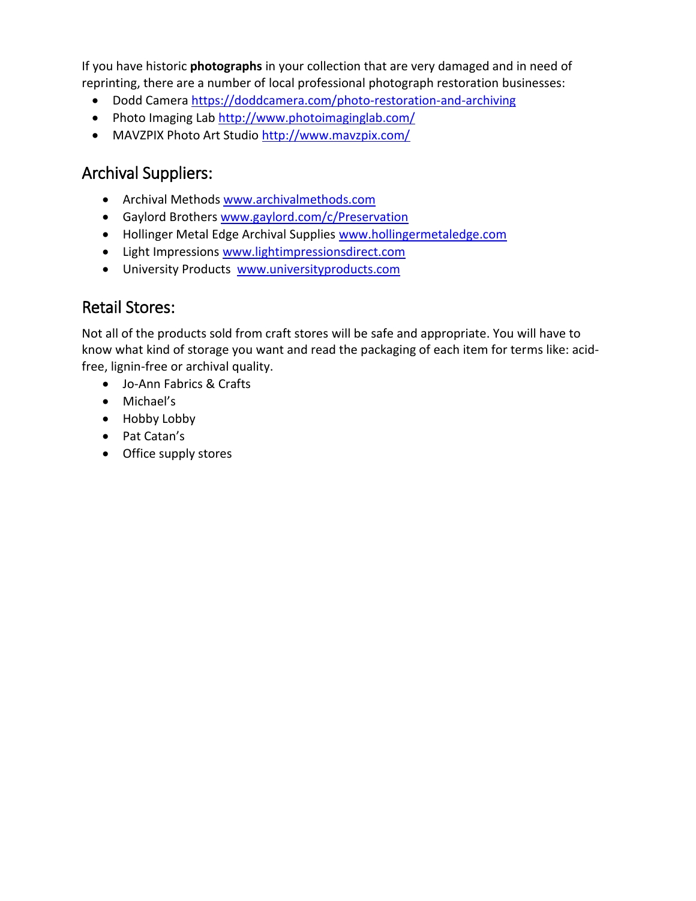If you have historic **photographs** in your collection that are very damaged and in need of reprinting, there are a number of local professional photograph restoration businesses:

- Dodd Camera<https://doddcamera.com/photo-restoration-and-archiving>
- Photo Imaging Lab<http://www.photoimaginglab.com/>
- MAVZPIX Photo Art Studio <http://www.mavzpix.com/>

## Archival Suppliers:

- Archival Methods [www.archivalmethods.com](http://www.archivalmethods.com/)
- Gaylord Brothers [www.gaylord.com/c/Preservation](http://www.gaylord.com/c/Preservation)
- Hollinger Metal Edge Archival Supplies [www.hollingermetaledge.com](http://www.hollingermetaledge.com/)
- Light Impression[s www.lightimpressionsdirect.com](http://www.lightimpressionsdirect.com/)
- University Products [www.universityproducts.com](http://www.universityproducts.com/)

#### Retail Stores:

Not all of the products sold from craft stores will be safe and appropriate. You will have to know what kind of storage you want and read the packaging of each item for terms like: acidfree, lignin-free or archival quality.

- Jo-Ann Fabrics & Crafts
- Michael's
- Hobby Lobby
- Pat Catan's
- Office supply stores